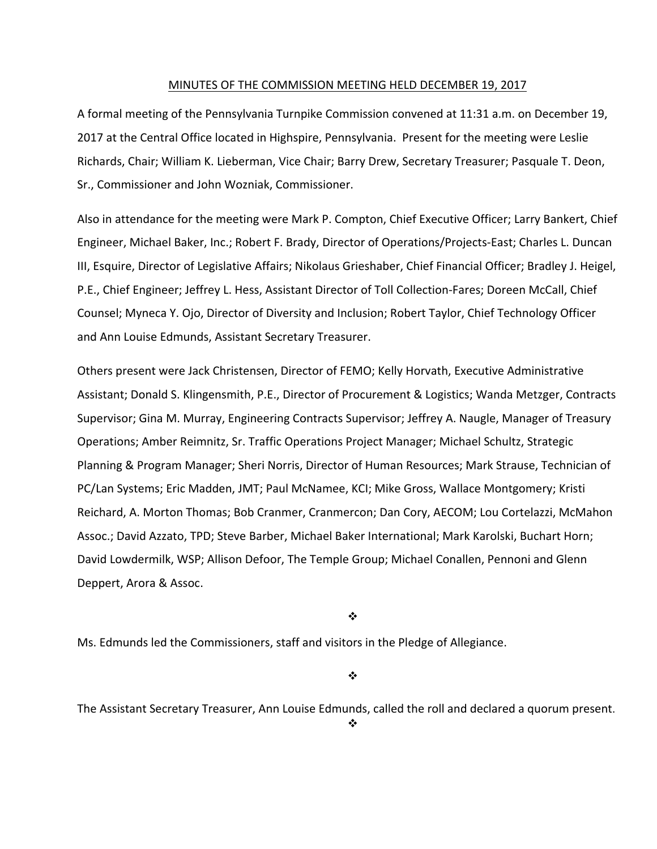#### MINUTES OF THE COMMISSION MEETING HELD DECEMBER 19, 2017

A formal meeting of the Pennsylvania Turnpike Commission convened at 11:31 a.m. on December 19, 2017 at the Central Office located in Highspire, Pennsylvania. Present for the meeting were Leslie Richards, Chair; William K. Lieberman, Vice Chair; Barry Drew, Secretary Treasurer; Pasquale T. Deon, Sr., Commissioner and John Wozniak, Commissioner.

Also in attendance for the meeting were Mark P. Compton, Chief Executive Officer; Larry Bankert, Chief Engineer, Michael Baker, Inc.; Robert F. Brady, Director of Operations/Projects‐East; Charles L. Duncan III, Esquire, Director of Legislative Affairs; Nikolaus Grieshaber, Chief Financial Officer; Bradley J. Heigel, P.E., Chief Engineer; Jeffrey L. Hess, Assistant Director of Toll Collection‐Fares; Doreen McCall, Chief Counsel; Myneca Y. Ojo, Director of Diversity and Inclusion; Robert Taylor, Chief Technology Officer and Ann Louise Edmunds, Assistant Secretary Treasurer.

Others present were Jack Christensen, Director of FEMO; Kelly Horvath, Executive Administrative Assistant; Donald S. Klingensmith, P.E., Director of Procurement & Logistics; Wanda Metzger, Contracts Supervisor; Gina M. Murray, Engineering Contracts Supervisor; Jeffrey A. Naugle, Manager of Treasury Operations; Amber Reimnitz, Sr. Traffic Operations Project Manager; Michael Schultz, Strategic Planning & Program Manager; Sheri Norris, Director of Human Resources; Mark Strause, Technician of PC/Lan Systems; Eric Madden, JMT; Paul McNamee, KCI; Mike Gross, Wallace Montgomery; Kristi Reichard, A. Morton Thomas; Bob Cranmer, Cranmercon; Dan Cory, AECOM; Lou Cortelazzi, McMahon Assoc.; David Azzato, TPD; Steve Barber, Michael Baker International; Mark Karolski, Buchart Horn; David Lowdermilk, WSP; Allison Defoor, The Temple Group; Michael Conallen, Pennoni and Glenn Deppert, Arora & Assoc.

❖

Ms. Edmunds led the Commissioners, staff and visitors in the Pledge of Allegiance.

❖

The Assistant Secretary Treasurer, Ann Louise Edmunds, called the roll and declared a quorum present.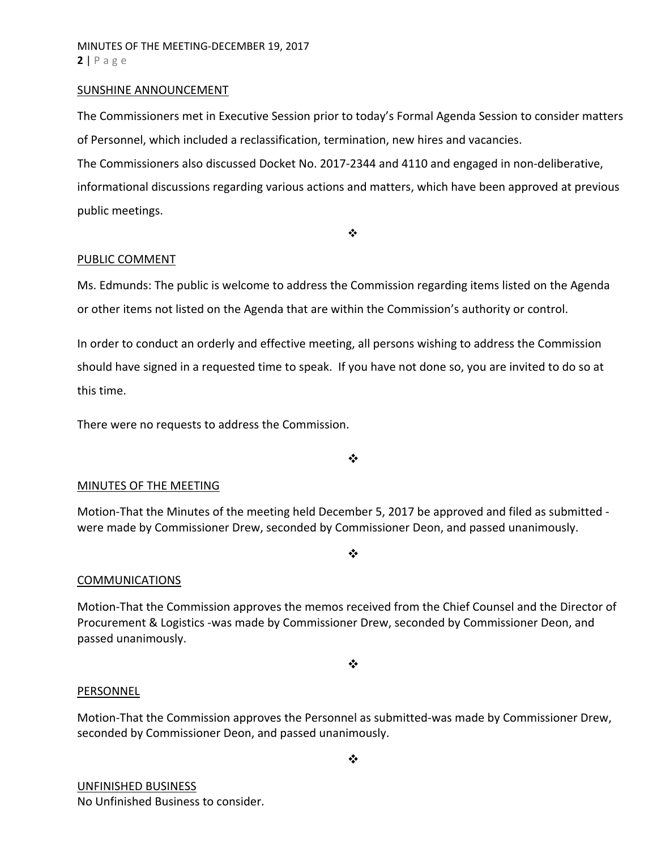#### SUNSHINE ANNOUNCEMENT

The Commissioners met in Executive Session prior to today's Formal Agenda Session to consider matters of Personnel, which included a reclassification, termination, new hires and vacancies.

The Commissioners also discussed Docket No. 2017-2344 and 4110 and engaged in non-deliberative,

informational discussions regarding various actions and matters, which have been approved at previous public meetings.

 $\bullet \bullet$ 

### PUBLIC COMMENT

Ms. Edmunds: The public is welcome to address the Commission regarding items listed on the Agenda or other items not listed on the Agenda that are within the Commission's authority or control.

In order to conduct an orderly and effective meeting, all persons wishing to address the Commission should have signed in a requested time to speak. If you have not done so, you are invited to do so at this time.

There were no requests to address the Commission.

 $\cdot$ 

# MINUTES OF THE MEETING

Motion‐That the Minutes of the meeting held December 5, 2017 be approved and filed as submitted ‐ were made by Commissioner Drew, seconded by Commissioner Deon, and passed unanimously.

 $\cdot$ 

#### COMMUNICATIONS

Motion‐That the Commission approves the memos received from the Chief Counsel and the Director of Procurement & Logistics ‐was made by Commissioner Drew, seconded by Commissioner Deon, and passed unanimously.

❖

#### PERSONNEL

Motion‐That the Commission approves the Personnel as submitted‐was made by Commissioner Drew, seconded by Commissioner Deon, and passed unanimously.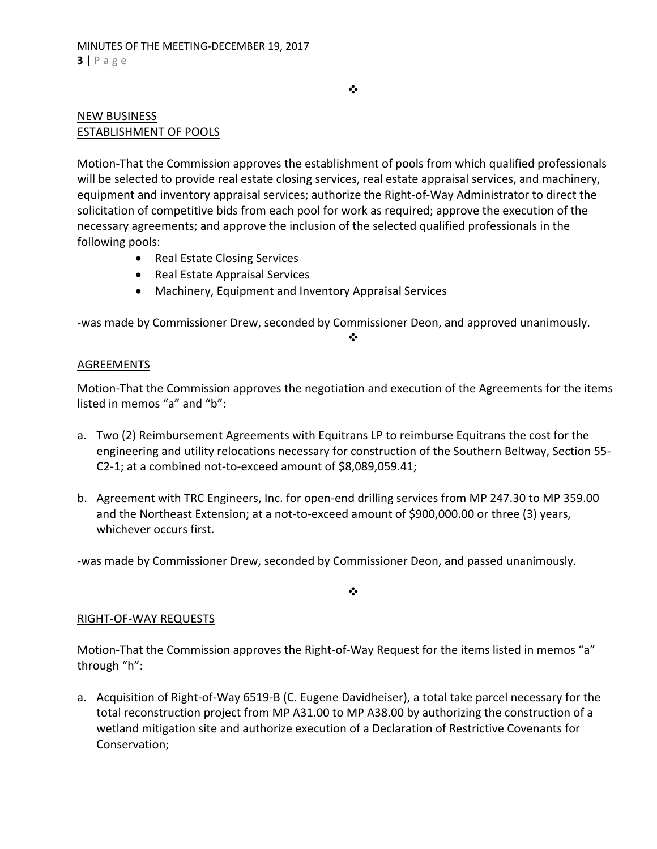$\bullet^{\bullet}_{\bullet} \bullet$ 

# NEW BUSINESS ESTABLISHMENT OF POOLS

Motion‐That the Commission approves the establishment of pools from which qualified professionals will be selected to provide real estate closing services, real estate appraisal services, and machinery, equipment and inventory appraisal services; authorize the Right‐of‐Way Administrator to direct the solicitation of competitive bids from each pool for work as required; approve the execution of the necessary agreements; and approve the inclusion of the selected qualified professionals in the following pools:

- Real Estate Closing Services
- Real Estate Appraisal Services
- Machinery, Equipment and Inventory Appraisal Services

‐was made by Commissioner Drew, seconded by Commissioner Deon, and approved unanimously.

❖

# AGREEMENTS

Motion‐That the Commission approves the negotiation and execution of the Agreements for the items listed in memos "a" and "b":

- a. Two (2) Reimbursement Agreements with Equitrans LP to reimburse Equitrans the cost for the engineering and utility relocations necessary for construction of the Southern Beltway, Section 55‐ C2‐1; at a combined not‐to‐exceed amount of \$8,089,059.41;
- b. Agreement with TRC Engineers, Inc. for open‐end drilling services from MP 247.30 to MP 359.00 and the Northeast Extension; at a not‐to‐exceed amount of \$900,000.00 or three (3) years, whichever occurs first.

‐was made by Commissioner Drew, seconded by Commissioner Deon, and passed unanimously.

❖

# RIGHT‐OF‐WAY REQUESTS

Motion-That the Commission approves the Right-of-Way Request for the items listed in memos "a" through "h":

a. Acquisition of Right‐of‐Way 6519‐B (C. Eugene Davidheiser), a total take parcel necessary for the total reconstruction project from MP A31.00 to MP A38.00 by authorizing the construction of a wetland mitigation site and authorize execution of a Declaration of Restrictive Covenants for Conservation;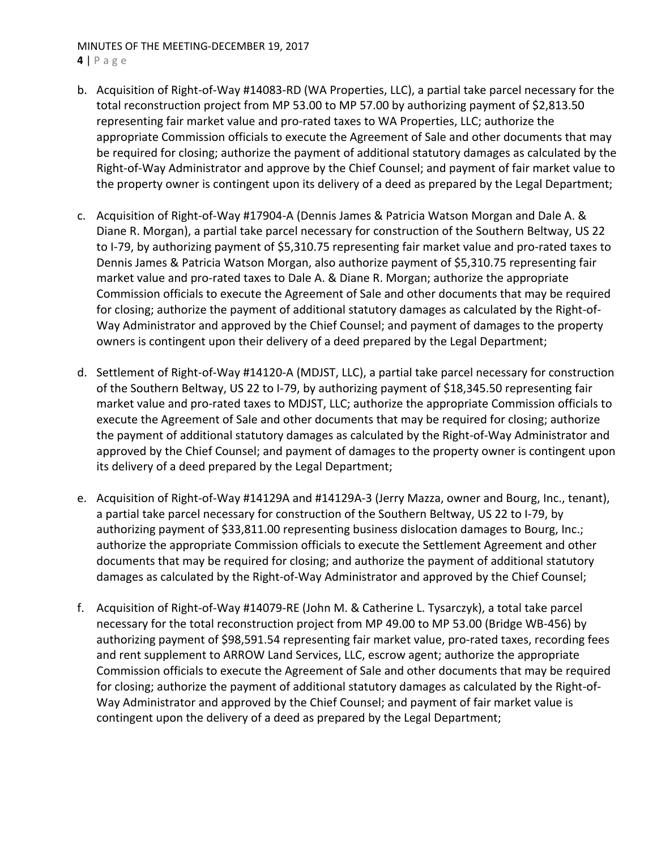# MINUTES OF THE MEETING‐DECEMBER 19, 2017

#### **4** | Page

- b. Acquisition of Right‐of‐Way #14083‐RD (WA Properties, LLC), a partial take parcel necessary for the total reconstruction project from MP 53.00 to MP 57.00 by authorizing payment of \$2,813.50 representing fair market value and pro-rated taxes to WA Properties, LLC; authorize the appropriate Commission officials to execute the Agreement of Sale and other documents that may be required for closing; authorize the payment of additional statutory damages as calculated by the Right‐of‐Way Administrator and approve by the Chief Counsel; and payment of fair market value to the property owner is contingent upon its delivery of a deed as prepared by the Legal Department;
- c. Acquisition of Right‐of‐Way #17904‐A (Dennis James & Patricia Watson Morgan and Dale A. & Diane R. Morgan), a partial take parcel necessary for construction of the Southern Beltway, US 22 to I-79, by authorizing payment of \$5,310.75 representing fair market value and pro-rated taxes to Dennis James & Patricia Watson Morgan, also authorize payment of \$5,310.75 representing fair market value and pro‐rated taxes to Dale A. & Diane R. Morgan; authorize the appropriate Commission officials to execute the Agreement of Sale and other documents that may be required for closing; authorize the payment of additional statutory damages as calculated by the Right‐of‐ Way Administrator and approved by the Chief Counsel; and payment of damages to the property owners is contingent upon their delivery of a deed prepared by the Legal Department;
- d. Settlement of Right‐of‐Way #14120‐A (MDJST, LLC), a partial take parcel necessary for construction of the Southern Beltway, US 22 to I-79, by authorizing payment of \$18,345.50 representing fair market value and pro‐rated taxes to MDJST, LLC; authorize the appropriate Commission officials to execute the Agreement of Sale and other documents that may be required for closing; authorize the payment of additional statutory damages as calculated by the Right‐of‐Way Administrator and approved by the Chief Counsel; and payment of damages to the property owner is contingent upon its delivery of a deed prepared by the Legal Department;
- e. Acquisition of Right-of-Way #14129A and #14129A-3 (Jerry Mazza, owner and Bourg, Inc., tenant), a partial take parcel necessary for construction of the Southern Beltway, US 22 to I‐79, by authorizing payment of \$33,811.00 representing business dislocation damages to Bourg, Inc.; authorize the appropriate Commission officials to execute the Settlement Agreement and other documents that may be required for closing; and authorize the payment of additional statutory damages as calculated by the Right‐of‐Way Administrator and approved by the Chief Counsel;
- f. Acquisition of Right‐of‐Way #14079‐RE (John M. & Catherine L. Tysarczyk), a total take parcel necessary for the total reconstruction project from MP 49.00 to MP 53.00 (Bridge WB‐456) by authorizing payment of \$98,591.54 representing fair market value, pro-rated taxes, recording fees and rent supplement to ARROW Land Services, LLC, escrow agent; authorize the appropriate Commission officials to execute the Agreement of Sale and other documents that may be required for closing; authorize the payment of additional statutory damages as calculated by the Right‐of‐ Way Administrator and approved by the Chief Counsel; and payment of fair market value is contingent upon the delivery of a deed as prepared by the Legal Department;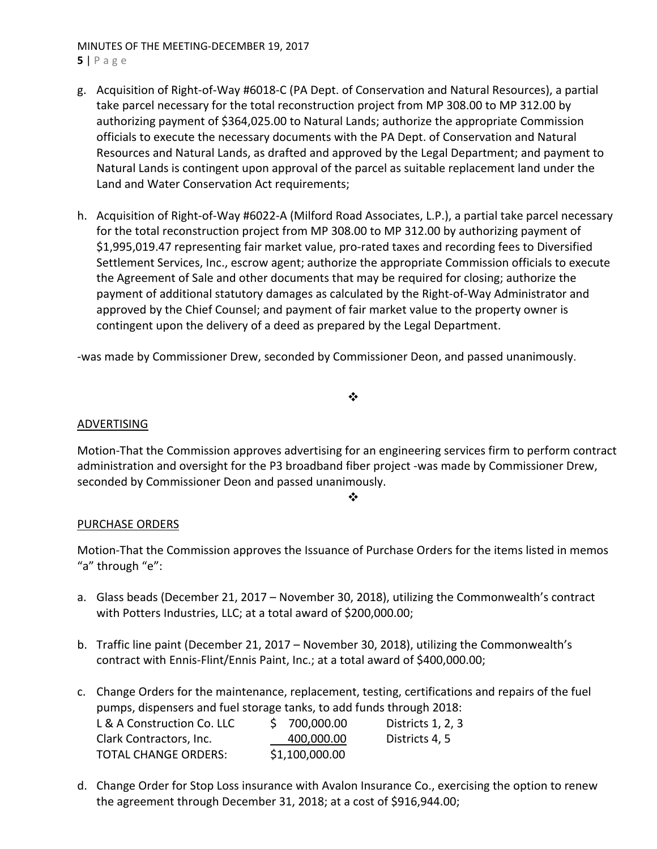# MINUTES OF THE MEETING‐DECEMBER 19, 2017

- **5** | Page
- g. Acquisition of Right‐of‐Way #6018‐C (PA Dept. of Conservation and Natural Resources), a partial take parcel necessary for the total reconstruction project from MP 308.00 to MP 312.00 by authorizing payment of \$364,025.00 to Natural Lands; authorize the appropriate Commission officials to execute the necessary documents with the PA Dept. of Conservation and Natural Resources and Natural Lands, as drafted and approved by the Legal Department; and payment to Natural Lands is contingent upon approval of the parcel as suitable replacement land under the Land and Water Conservation Act requirements;
- h. Acquisition of Right‐of‐Way #6022‐A (Milford Road Associates, L.P.), a partial take parcel necessary for the total reconstruction project from MP 308.00 to MP 312.00 by authorizing payment of \$1,995,019.47 representing fair market value, pro‐rated taxes and recording fees to Diversified Settlement Services, Inc., escrow agent; authorize the appropriate Commission officials to execute the Agreement of Sale and other documents that may be required for closing; authorize the payment of additional statutory damages as calculated by the Right‐of‐Way Administrator and approved by the Chief Counsel; and payment of fair market value to the property owner is contingent upon the delivery of a deed as prepared by the Legal Department.

‐was made by Commissioner Drew, seconded by Commissioner Deon, and passed unanimously.

# $\cdot$

# ADVERTISING

Motion‐That the Commission approves advertising for an engineering services firm to perform contract administration and oversight for the P3 broadband fiber project ‐was made by Commissioner Drew, seconded by Commissioner Deon and passed unanimously.

#### ❖

# PURCHASE ORDERS

Motion‐That the Commission approves the Issuance of Purchase Orders for the items listed in memos "a" through "e":

- a. Glass beads (December 21, 2017 November 30, 2018), utilizing the Commonwealth's contract with Potters Industries, LLC; at a total award of \$200,000.00;
- b. Traffic line paint (December 21, 2017 November 30, 2018), utilizing the Commonwealth's contract with Ennis‐Flint/Ennis Paint, Inc.; at a total award of \$400,000.00;
- c. Change Orders for the maintenance, replacement, testing, certifications and repairs of the fuel pumps, dispensers and fuel storage tanks, to add funds through 2018: L & A Construction Co. LLC  $\qquad \qquad$  \$ 700,000.00 Districts 1, 2, 3 Clark Contractors, Inc. 400,000.00 Districts 4, 5

TOTAL CHANGE ORDERS: \$1,100,000.00

d. Change Order for Stop Loss insurance with Avalon Insurance Co., exercising the option to renew the agreement through December 31, 2018; at a cost of \$916,944.00;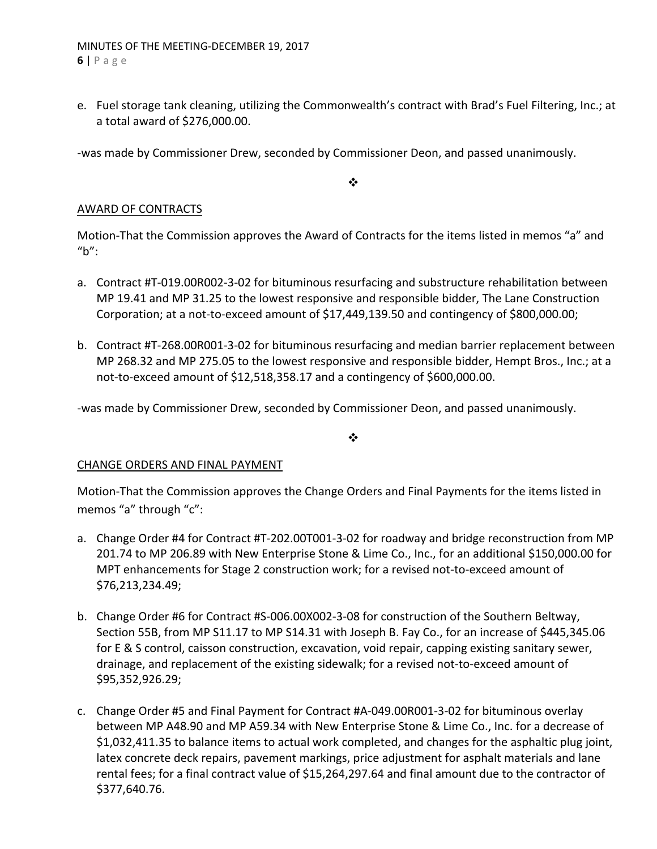e. Fuel storage tank cleaning, utilizing the Commonwealth's contract with Brad's Fuel Filtering, Inc.; at a total award of \$276,000.00.

‐was made by Commissioner Drew, seconded by Commissioner Deon, and passed unanimously.

 $\cdot$ 

# AWARD OF CONTRACTS

Motion‐That the Commission approves the Award of Contracts for the items listed in memos "a" and "b":

- a. Contract #T-019.00R002-3-02 for bituminous resurfacing and substructure rehabilitation between MP 19.41 and MP 31.25 to the lowest responsive and responsible bidder, The Lane Construction Corporation; at a not‐to‐exceed amount of \$17,449,139.50 and contingency of \$800,000.00;
- b. Contract #T‐268.00R001‐3‐02 for bituminous resurfacing and median barrier replacement between MP 268.32 and MP 275.05 to the lowest responsive and responsible bidder, Hempt Bros., Inc.; at a not‐to‐exceed amount of \$12,518,358.17 and a contingency of \$600,000.00.

‐was made by Commissioner Drew, seconded by Commissioner Deon, and passed unanimously.

 $\frac{1}{2}$ 

# CHANGE ORDERS AND FINAL PAYMENT

Motion‐That the Commission approves the Change Orders and Final Payments for the items listed in memos "a" through "c":

- a. Change Order #4 for Contract #T‐202.00T001‐3‐02 for roadway and bridge reconstruction from MP 201.74 to MP 206.89 with New Enterprise Stone & Lime Co., Inc., for an additional \$150,000.00 for MPT enhancements for Stage 2 construction work; for a revised not‐to‐exceed amount of \$76,213,234.49;
- b. Change Order #6 for Contract #S‐006.00X002‐3‐08 for construction of the Southern Beltway, Section 55B, from MP S11.17 to MP S14.31 with Joseph B. Fay Co., for an increase of \$445,345.06 for E & S control, caisson construction, excavation, void repair, capping existing sanitary sewer, drainage, and replacement of the existing sidewalk; for a revised not‐to‐exceed amount of \$95,352,926.29;
- c. Change Order #5 and Final Payment for Contract #A‐049.00R001‐3‐02 for bituminous overlay between MP A48.90 and MP A59.34 with New Enterprise Stone & Lime Co., Inc. for a decrease of \$1,032,411.35 to balance items to actual work completed, and changes for the asphaltic plug joint, latex concrete deck repairs, pavement markings, price adjustment for asphalt materials and lane rental fees; for a final contract value of \$15,264,297.64 and final amount due to the contractor of \$377,640.76.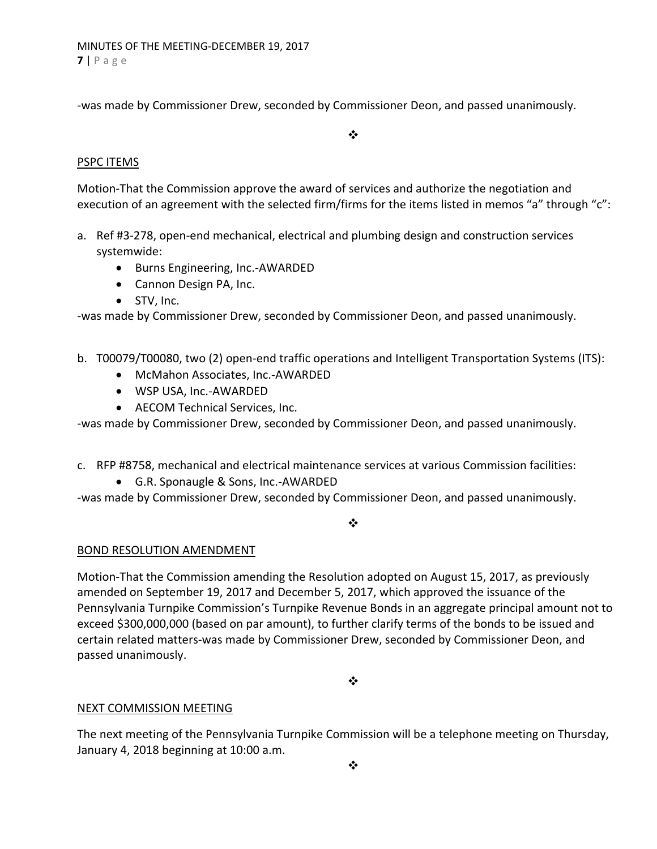‐was made by Commissioner Drew, seconded by Commissioner Deon, and passed unanimously.

 $\frac{1}{2}$ 

# PSPC ITEMS

Motion‐That the Commission approve the award of services and authorize the negotiation and execution of an agreement with the selected firm/firms for the items listed in memos "a" through "c":

- a. Ref #3-278, open-end mechanical, electrical and plumbing design and construction services systemwide:
	- Burns Engineering, Inc.-AWARDED
	- Cannon Design PA, Inc.
	- STV, Inc.

‐was made by Commissioner Drew, seconded by Commissioner Deon, and passed unanimously.

- b. T00079/T00080, two (2) open-end traffic operations and Intelligent Transportation Systems (ITS):
	- McMahon Associates, Inc.-AWARDED
	- WSP USA, Inc.-AWARDED
	- AECOM Technical Services, Inc.

‐was made by Commissioner Drew, seconded by Commissioner Deon, and passed unanimously.

- c. RFP #8758, mechanical and electrical maintenance services at various Commission facilities:
	- G.R. Sponaugle & Sons, Inc.-AWARDED

‐was made by Commissioner Drew, seconded by Commissioner Deon, and passed unanimously.

❖

# BOND RESOLUTION AMENDMENT

Motion‐That the Commission amending the Resolution adopted on August 15, 2017, as previously amended on September 19, 2017 and December 5, 2017, which approved the issuance of the Pennsylvania Turnpike Commission's Turnpike Revenue Bonds in an aggregate principal amount not to exceed \$300,000,000 (based on par amount), to further clarify terms of the bonds to be issued and certain related matters‐was made by Commissioner Drew, seconded by Commissioner Deon, and passed unanimously.

❖

# NEXT COMMISSION MEETING

The next meeting of the Pennsylvania Turnpike Commission will be a telephone meeting on Thursday, January 4, 2018 beginning at 10:00 a.m.